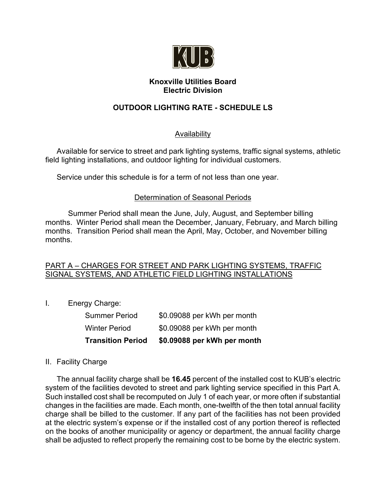

# **Knoxville Utilities Board Electric Division**

# **OUTDOOR LIGHTING RATE - SCHEDULE LS**

# Availability

Available for service to street and park lighting systems, traffic signal systems, athletic field lighting installations, and outdoor lighting for individual customers.

Service under this schedule is for a term of not less than one year.

# Determination of Seasonal Periods

Summer Period shall mean the June, July, August, and September billing months. Winter Period shall mean the December, January, February, and March billing months. Transition Period shall mean the April, May, October, and November billing months.

# PART A – CHARGES FOR STREET AND PARK LIGHTING SYSTEMS, TRAFFIC SIGNAL SYSTEMS, AND ATHLETIC FIELD LIGHTING INSTALLATIONS

I. Energy Charge:

| <b>Transition Period</b> | \$0.09088 per kWh per month |
|--------------------------|-----------------------------|
| Winter Period            | \$0.09088 per kWh per month |
| Summer Period            | \$0.09088 per kWh per month |

# II. Facility Charge

The annual facility charge shall be **16.45** percent of the installed cost to KUB's electric system of the facilities devoted to street and park lighting service specified in this Part A. Such installed cost shall be recomputed on July 1 of each year, or more often if substantial changes in the facilities are made. Each month, one-twelfth of the then total annual facility charge shall be billed to the customer. If any part of the facilities has not been provided at the electric system's expense or if the installed cost of any portion thereof is reflected on the books of another municipality or agency or department, the annual facility charge shall be adjusted to reflect properly the remaining cost to be borne by the electric system.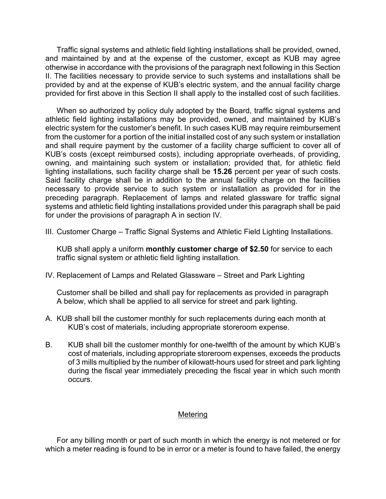Traffic signal systems and athletic field lighting installations shall be provided, owned, and maintained by and at the expense of the customer, except as KUB may agree otherwise in accordance with the provisions of the paragraph next following in this Section II. The facilities necessary to provide service to such systems and installations shall be provided by and at the expense of KUB's electric system, and the annual facility charge provided for first above in this Section II shall apply to the installed cost of such facilities.

When so authorized by policy duly adopted by the Board, traffic signal systems and athletic field lighting installations may be provided, owned, and maintained by KUB's electric system for the customer's benefit. In such cases KUB may require reimbursement from the customer for a portion of the initial installed cost of any such system or installation and shall require payment by the customer of a facility charge sufficient to cover all of KUB's costs (except reimbursed costs), including appropriate overheads, of providing, owning, and maintaining such system or installation; provided that, for athletic field lighting installations, such facility charge shall be **15.26** percent per year of such costs. Said facility charge shall be in addition to the annual facility charge on the facilities necessary to provide service to such system or installation as provided for in the preceding paragraph. Replacement of lamps and related glassware for traffic signal systems and athletic field lighting installations provided under this paragraph shall be paid for under the provisions of paragraph A in section IV.

III. Customer Charge – Traffic Signal Systems and Athletic Field Lighting Installations.

KUB shall apply a uniform **monthly customer charge of \$2.50** for service to each traffic signal system or athletic field lighting installation.

IV. Replacement of Lamps and Related Glassware – Street and Park Lighting

Customer shall be billed and shall pay for replacements as provided in paragraph A below, which shall be applied to all service for street and park lighting.

- A. KUB shall bill the customer monthly for such replacements during each month at KUB's cost of materials, including appropriate storeroom expense.
- B. KUB shall bill the customer monthly for one-twelfth of the amount by which KUB's cost of materials, including appropriate storeroom expenses, exceeds the products of 3 mills multiplied by the number of kilowatt-hours used for street and park lighting during the fiscal year immediately preceding the fiscal year in which such month occurs.

#### **Metering**

For any billing month or part of such month in which the energy is not metered or for which a meter reading is found to be in error or a meter is found to have failed, the energy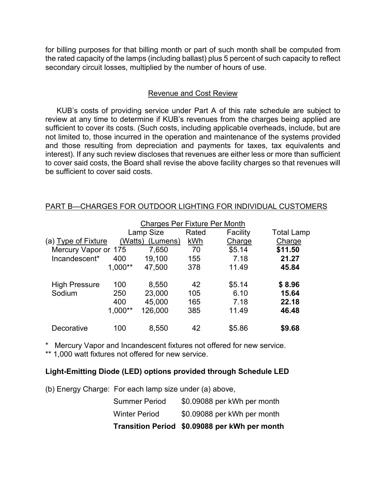for billing purposes for that billing month or part of such month shall be computed from the rated capacity of the lamps (including ballast) plus 5 percent of such capacity to reflect secondary circuit losses, multiplied by the number of hours of use.

# Revenue and Cost Review

KUB's costs of providing service under Part A of this rate schedule are subject to review at any time to determine if KUB's revenues from the charges being applied are sufficient to cover its costs. (Such costs, including applicable overheads, include, but are not limited to, those incurred in the operation and maintenance of the systems provided and those resulting from depreciation and payments for taxes, tax equivalents and interest). If any such review discloses that revenues are either less or more than sufficient to cover said costs, the Board shall revise the above facility charges so that revenues will be sufficient to cover said costs.

|                                            |           | <b>Charges Per Fixture Per Month</b> |        |          |                   |
|--------------------------------------------|-----------|--------------------------------------|--------|----------|-------------------|
|                                            |           | Lamp Size                            | Rated  | Facility | <b>Total Lamp</b> |
| (a) Type of Fixture<br>(Watts)<br>(Lumens) |           | kWh                                  | Charge | Charge   |                   |
| Mercury Vapor or 175                       |           | 7,650                                | 70     | \$5.14   | \$11.50           |
| Incandescent*                              | 400       | 19,100                               | 155    | 7.18     | 21.27             |
|                                            | $1,000**$ | 47,500                               | 378    | 11.49    | 45.84             |
| <b>High Pressure</b>                       | 100       | 8,550                                | 42     | \$5.14   | \$8.96            |
| Sodium                                     | 250       | 23,000                               | 105    | 6.10     | 15.64             |
|                                            | 400       | 45,000                               | 165    | 7.18     | 22.18             |
|                                            | $1,000**$ | 126,000                              | 385    | 11.49    | 46.48             |
| Decorative                                 | 100       | 8,550                                | 42     | \$5.86   | \$9.68            |

#### PART B—CHARGES FOR OUTDOOR LIGHTING FOR INDIVIDUAL CUSTOMERS

\* Mercury Vapor and Incandescent fixtures not offered for new service.

\*\* 1,000 watt fixtures not offered for new service.

# **Light-Emitting Diode (LED) options provided through Schedule LED**

(b) Energy Charge: For each lamp size under (a) above,

|                      | Transition Period \$0.09088 per kWh per month |
|----------------------|-----------------------------------------------|
| <b>Winter Period</b> | \$0.09088 per kWh per month                   |
| <b>Summer Period</b> | \$0.09088 per kWh per month                   |